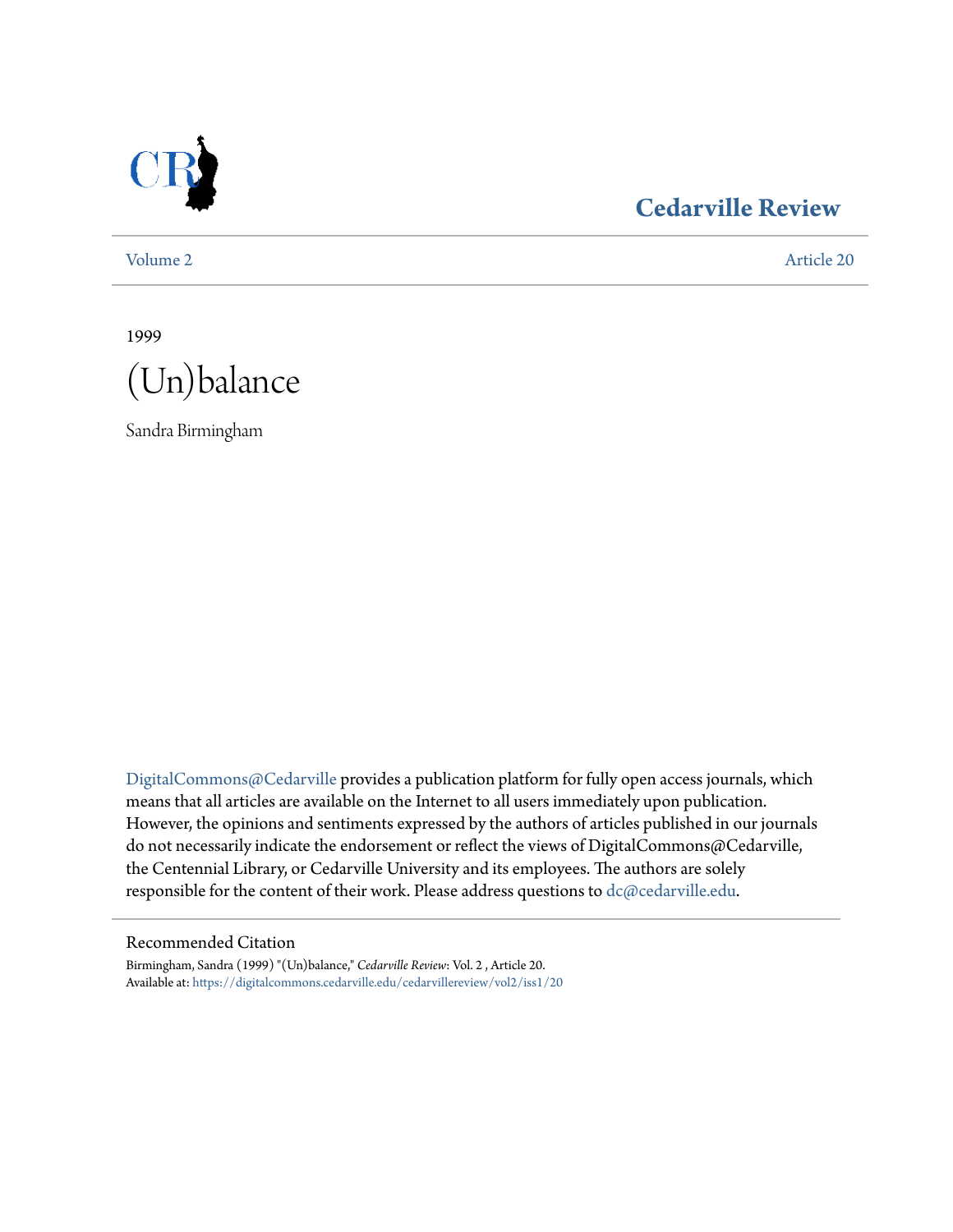

# **[Cedarville Review](https://digitalcommons.cedarville.edu/cedarvillereview?utm_source=digitalcommons.cedarville.edu%2Fcedarvillereview%2Fvol2%2Fiss1%2F20&utm_medium=PDF&utm_campaign=PDFCoverPages)**

[Volume 2](https://digitalcommons.cedarville.edu/cedarvillereview/vol2?utm_source=digitalcommons.cedarville.edu%2Fcedarvillereview%2Fvol2%2Fiss1%2F20&utm_medium=PDF&utm_campaign=PDFCoverPages) [Article 20](https://digitalcommons.cedarville.edu/cedarvillereview/vol2/iss1/20?utm_source=digitalcommons.cedarville.edu%2Fcedarvillereview%2Fvol2%2Fiss1%2F20&utm_medium=PDF&utm_campaign=PDFCoverPages)

1999



Sandra Birmingham

[DigitalCommons@Cedarville](http://digitalcommons.cedarville.edu) provides a publication platform for fully open access journals, which means that all articles are available on the Internet to all users immediately upon publication. However, the opinions and sentiments expressed by the authors of articles published in our journals do not necessarily indicate the endorsement or reflect the views of DigitalCommons@Cedarville, the Centennial Library, or Cedarville University and its employees. The authors are solely responsible for the content of their work. Please address questions to [dc@cedarville.edu](mailto:dc@cedarville.edu).

#### Recommended Citation

Birmingham, Sandra (1999) "(Un)balance," *Cedarville Review*: Vol. 2 , Article 20. Available at: [https://digitalcommons.cedarville.edu/cedarvillereview/vol2/iss1/20](https://digitalcommons.cedarville.edu/cedarvillereview/vol2/iss1/20?utm_source=digitalcommons.cedarville.edu%2Fcedarvillereview%2Fvol2%2Fiss1%2F20&utm_medium=PDF&utm_campaign=PDFCoverPages)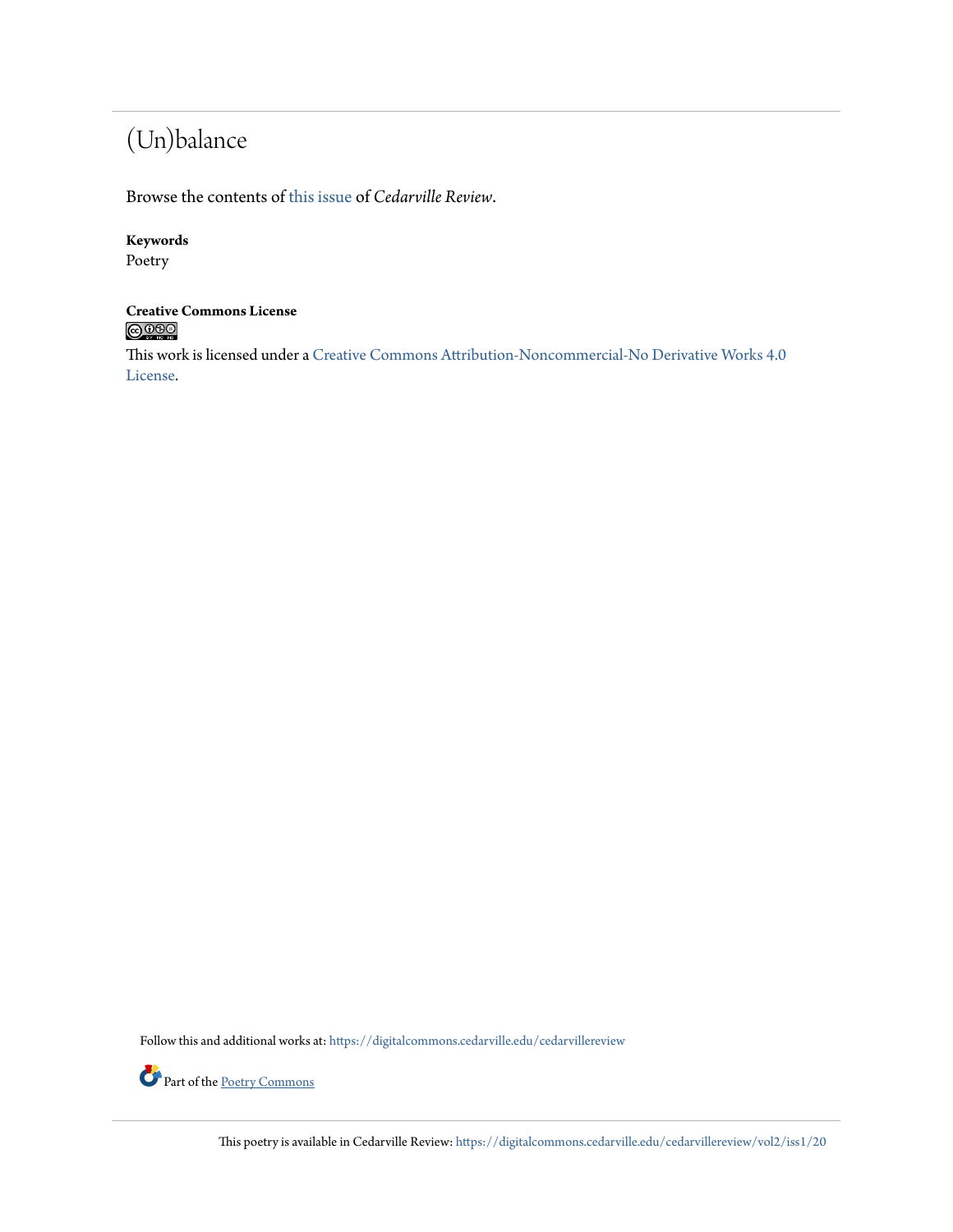# (Un)balance

Browse the contents of [this issue](https://digitalcommons.cedarville.edu/cedarvillereview/vol2/iss1) of *Cedarville Review*.

### **Keywords**

Poetry

# **Creative Commons License**<br> **C** 000

This work is licensed under a [Creative Commons Attribution-Noncommercial-No Derivative Works 4.0](http://creativecommons.org/licenses/by-nc-nd/4.0/) [License.](http://creativecommons.org/licenses/by-nc-nd/4.0/)

Follow this and additional works at: [https://digitalcommons.cedarville.edu/cedarvillereview](https://digitalcommons.cedarville.edu/cedarvillereview?utm_source=digitalcommons.cedarville.edu%2Fcedarvillereview%2Fvol2%2Fiss1%2F20&utm_medium=PDF&utm_campaign=PDFCoverPages)



This poetry is available in Cedarville Review: [https://digitalcommons.cedarville.edu/cedarvillereview/vol2/iss1/20](https://digitalcommons.cedarville.edu/cedarvillereview/vol2/iss1/20?utm_source=digitalcommons.cedarville.edu%2Fcedarvillereview%2Fvol2%2Fiss1%2F20&utm_medium=PDF&utm_campaign=PDFCoverPages)